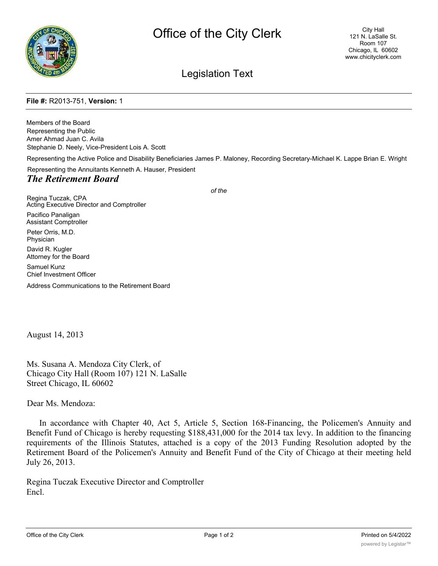

## Legislation Text

## **File #:** R2013-751, **Version:** 1

Members of the Board Representing the Public Amer Ahmad Juan C. Avila Stephanie D. Neely, Vice-President Lois A. Scott Representing the Active Police and Disability Beneficiaries James P. Maloney, Recording Secretary-Michael K. Lappe Brian E. Wright Representing the Annuitants Kenneth A. Hauser, President *The Retirement Board of the*

Regina Tuczak, CPA Acting Executive Director and Comptroller Pacifico Panaligan Assistant Comptroller Peter Orris, M.D. Physician David R. Kugler Attorney for the Board Samuel Kunz Chief Investment Officer

Address Communications to the Retirement Board

August 14, 2013

Ms. Susana A. Mendoza City Clerk, of Chicago City Hall (Room 107) 121 N. LaSalle Street Chicago, IL 60602

Dear Ms. Mendoza:

In accordance with Chapter 40, Act 5, Article 5, Section 168-Financing, the Policemen's Annuity and Benefit Fund of Chicago is hereby requesting \$188,431,000 for the 2014 tax levy. In addition to the financing requirements of the Illinois Statutes, attached is a copy of the 2013 Funding Resolution adopted by the Retirement Board of the Policemen's Annuity and Benefit Fund of the City of Chicago at their meeting held July 26, 2013.

Regina Tuczak Executive Director and Comptroller Encl.